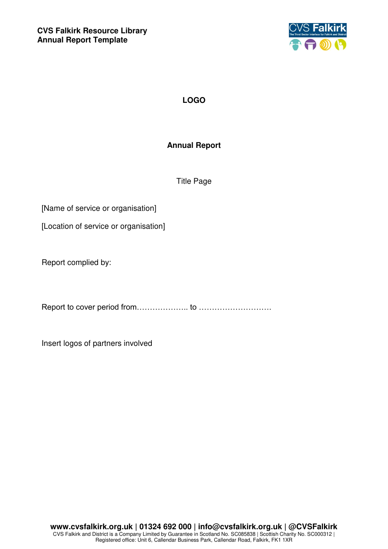

## **LOGO**

## **Annual Report**

Title Page

[Name of service or organisation]

[Location of service or organisation]

Report complied by:

Report to cover period from……………….. to ……………………….

Insert logos of partners involved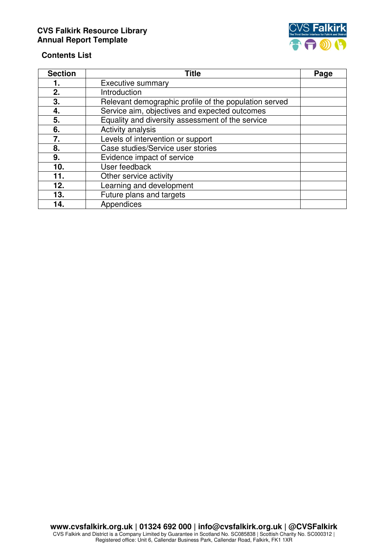## **CVS Falkirk Resource Library Annual Report Template**



## **Contents List**

| <b>Section</b> | <b>Title</b>                                          | Page |
|----------------|-------------------------------------------------------|------|
| 1.             | Executive summary                                     |      |
| 2.             | Introduction                                          |      |
| 3.             | Relevant demographic profile of the population served |      |
| 4.             | Service aim, objectives and expected outcomes         |      |
| 5.             | Equality and diversity assessment of the service      |      |
| 6.             | Activity analysis                                     |      |
| 7.             | Levels of intervention or support                     |      |
| 8.             | Case studies/Service user stories                     |      |
| 9.             | Evidence impact of service                            |      |
| 10.            | User feedback                                         |      |
| 11.            | Other service activity                                |      |
| 12.            | Learning and development                              |      |
| 13.            | Future plans and targets                              |      |
| 14.            | Appendices                                            |      |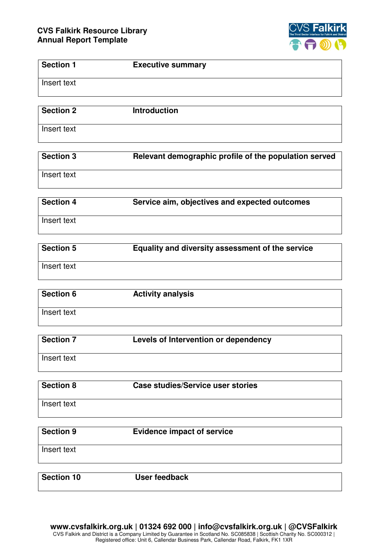

| <b>Section 1</b>  | <b>Executive summary</b>                              |
|-------------------|-------------------------------------------------------|
| Insert text       |                                                       |
| <b>Section 2</b>  | <b>Introduction</b>                                   |
|                   |                                                       |
| Insert text       |                                                       |
| Section 3         | Relevant demographic profile of the population served |
| Insert text       |                                                       |
| <b>Section 4</b>  | Service aim, objectives and expected outcomes         |
| Insert text       |                                                       |
| <b>Section 5</b>  |                                                       |
|                   | Equality and diversity assessment of the service      |
| Insert text       |                                                       |
| <b>Section 6</b>  | <b>Activity analysis</b>                              |
|                   |                                                       |
| Insert text       |                                                       |
| <b>Section 7</b>  |                                                       |
|                   | Levels of Intervention or dependency                  |
| Insert text       |                                                       |
|                   |                                                       |
| <b>Section 8</b>  | <b>Case studies/Service user stories</b>              |
| Insert text       |                                                       |
| <b>Section 9</b>  |                                                       |
|                   | <b>Evidence impact of service</b>                     |
| Insert text       |                                                       |
| <b>Section 10</b> | <b>User feedback</b>                                  |
|                   |                                                       |